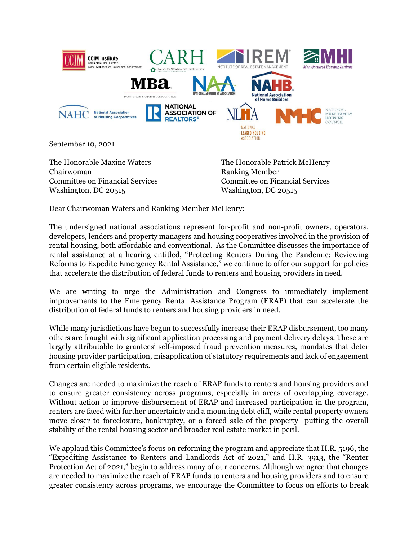

September 10, 2021

The Honorable Maxine Waters Chairwoman Committee on Financial Services Washington, DC 20515

The Honorable Patrick McHenry Ranking Member Committee on Financial Services Washington, DC 20515

Dear Chairwoman Waters and Ranking Member McHenry:

The undersigned national associations represent for-profit and non-profit owners, operators, developers, lenders and property managers and housing cooperatives involved in the provision of rental housing, both affordable and conventional. As the Committee discusses the importance of rental assistance at a hearing entitled, "Protecting Renters During the Pandemic: Reviewing Reforms to Expedite Emergency Rental Assistance," we continue to offer our support for policies that accelerate the distribution of federal funds to renters and housing providers in need.

We are writing to urge the Administration and Congress to immediately implement improvements to the Emergency Rental Assistance Program (ERAP) that can accelerate the distribution of federal funds to renters and housing providers in need.

While many jurisdictions have begun to successfully increase their ERAP disbursement, too many others are fraught with significant application processing and payment delivery delays. These are largely attributable to grantees' self-imposed fraud prevention measures, mandates that deter housing provider participation, misapplication of statutory requirements and lack of engagement from certain eligible residents.

Changes are needed to maximize the reach of ERAP funds to renters and housing providers and to ensure greater consistency across programs, especially in areas of overlapping coverage. Without action to improve disbursement of ERAP and increased participation in the program, renters are faced with further uncertainty and a mounting debt cliff, while rental property owners move closer to foreclosure, bankruptcy, or a forced sale of the property—putting the overall stability of the rental housing sector and broader real estate market in peril.

We applaud this Committee's focus on reforming the program and appreciate that H.R. 5196, the "Expediting Assistance to Renters and Landlords Act of 2021," and H.R. 3913, the "Renter Protection Act of 2021," begin to address many of our concerns. Although we agree that changes are needed to maximize the reach of ERAP funds to renters and housing providers and to ensure greater consistency across programs, we encourage the Committee to focus on efforts to break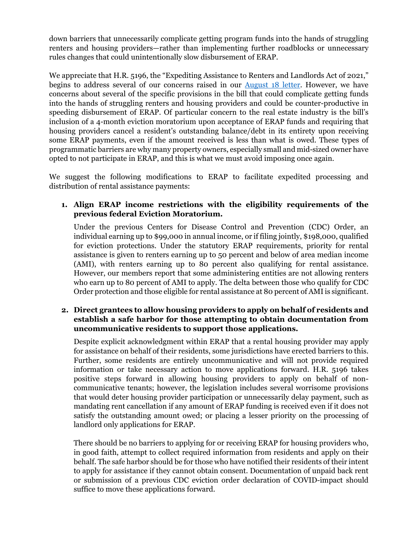down barriers that unnecessarily complicate getting program funds into the hands of struggling renters and housing providers—rather than implementing further roadblocks or unnecessary rules changes that could unintentionally slow disbursement of ERAP.

We appreciate that H.R. 5196, the "Expediting Assistance to Renters and Landlords Act of 2021," begins to address several of our concerns raised in our [August 18 letter.](https://www.nmhc.org/globalassets/advocacy/comment-letters/2021/2021-08-18-letter-on-erap-recommendations.pdf) However, we have concerns about several of the specific provisions in the bill that could complicate getting funds into the hands of struggling renters and housing providers and could be counter-productive in speeding disbursement of ERAP. Of particular concern to the real estate industry is the bill's inclusion of a 4-month eviction moratorium upon acceptance of ERAP funds and requiring that housing providers cancel a resident's outstanding balance/debt in its entirety upon receiving some ERAP payments, even if the amount received is less than what is owed. These types of programmatic barriers are why many property owners, especially small and mid-sized owner have opted to not participate in ERAP, and this is what we must avoid imposing once again.

We suggest the following modifications to ERAP to facilitate expedited processing and distribution of rental assistance payments:

**1. Align ERAP income restrictions with the eligibility requirements of the previous federal Eviction Moratorium.** 

Under the previous Centers for Disease Control and Prevention (CDC) Order, an individual earning up to \$99,000 in annual income, or if filing jointly, \$198,000, qualified for eviction protections. Under the statutory ERAP requirements, priority for rental assistance is given to renters earning up to 50 percent and below of area median income (AMI), with renters earning up to 80 percent also qualifying for rental assistance. However, our members report that some administering entities are not allowing renters who earn up to 80 percent of AMI to apply. The delta between those who qualify for CDC Order protection and those eligible for rental assistance at 80 percent of AMI is significant.

# **2. Direct grantees to allow housing providers to apply on behalf of residents and establish a safe harbor for those attempting to obtain documentation from uncommunicative residents to support those applications.**

Despite explicit acknowledgment within ERAP that a rental housing provider may apply for assistance on behalf of their residents, some jurisdictions have erected barriers to this. Further, some residents are entirely uncommunicative and will not provide required information or take necessary action to move applications forward. H.R. 5196 takes positive steps forward in allowing housing providers to apply on behalf of noncommunicative tenants; however, the legislation includes several worrisome provisions that would deter housing provider participation or unnecessarily delay payment, such as mandating rent cancellation if any amount of ERAP funding is received even if it does not satisfy the outstanding amount owed; or placing a lesser priority on the processing of landlord only applications for ERAP.

There should be no barriers to applying for or receiving ERAP for housing providers who, in good faith, attempt to collect required information from residents and apply on their behalf. The safe harbor should be for those who have notified their residents of their intent to apply for assistance if they cannot obtain consent. Documentation of unpaid back rent or submission of a previous CDC eviction order declaration of COVID-impact should suffice to move these applications forward.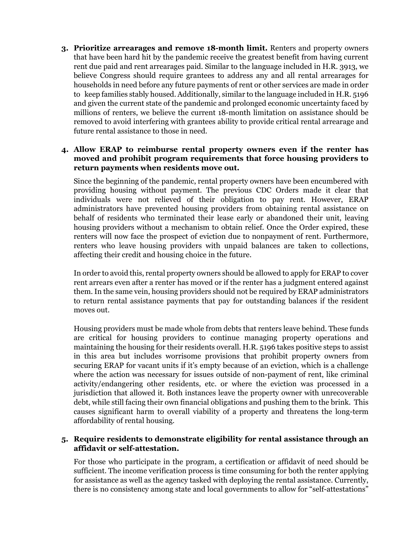**3. Prioritize arrearages and remove 18-month limit.** Renters and property owners that have been hard hit by the pandemic receive the greatest benefit from having current rent due paid and rent arrearages paid. Similar to the language included in H.R. 3913, we believe Congress should require grantees to address any and all rental arrearages for households in need before any future payments of rent or other services are made in order to keep families stably housed. Additionally, similar to the language included in H.R. 5196 and given the current state of the pandemic and prolonged economic uncertainty faced by millions of renters, we believe the current 18-month limitation on assistance should be removed to avoid interfering with grantees ability to provide critical rental arrearage and future rental assistance to those in need.

#### **4. Allow ERAP to reimburse rental property owners even if the renter has moved and prohibit program requirements that force housing providers to return payments when residents move out.**

Since the beginning of the pandemic, rental property owners have been encumbered with providing housing without payment. The previous CDC Orders made it clear that individuals were not relieved of their obligation to pay rent. However, ERAP administrators have prevented housing providers from obtaining rental assistance on behalf of residents who terminated their lease early or abandoned their unit, leaving housing providers without a mechanism to obtain relief. Once the Order expired, these renters will now face the prospect of eviction due to nonpayment of rent. Furthermore, renters who leave housing providers with unpaid balances are taken to collections, affecting their credit and housing choice in the future.

In order to avoid this, rental property owners should be allowed to apply for ERAP to cover rent arrears even after a renter has moved or if the renter has a judgment entered against them. In the same vein, housing providers should not be required by ERAP administrators to return rental assistance payments that pay for outstanding balances if the resident moves out.

Housing providers must be made whole from debts that renters leave behind. These funds are critical for housing providers to continue managing property operations and maintaining the housing for their residents overall. H.R. 5196 takes positive steps to assist in this area but includes worrisome provisions that prohibit property owners from securing ERAP for vacant units if it's empty because of an eviction, which is a challenge where the action was necessary for issues outside of non-payment of rent, like criminal activity/endangering other residents, etc. or where the eviction was processed in a jurisdiction that allowed it. Both instances leave the property owner with unrecoverable debt, while still facing their own financial obligations and pushing them to the brink. This causes significant harm to overall viability of a property and threatens the long-term affordability of rental housing.

# **5. Require residents to demonstrate eligibility for rental assistance through an affidavit or self-attestation.**

For those who participate in the program, a certification or affidavit of need should be sufficient. The income verification process is time consuming for both the renter applying for assistance as well as the agency tasked with deploying the rental assistance. Currently, there is no consistency among state and local governments to allow for "self-attestations"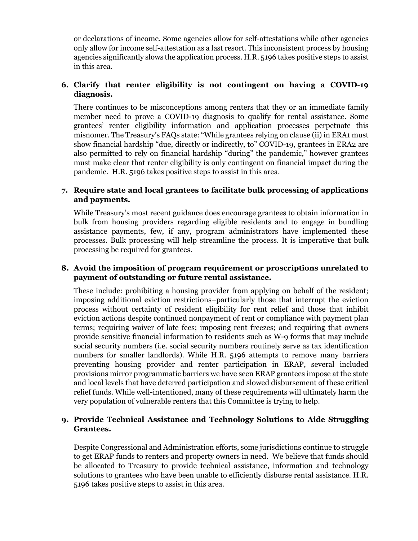or declarations of income. Some agencies allow for self-attestations while other agencies only allow for income self-attestation as a last resort. This inconsistent process by housing agencies significantly slows the application process. H.R. 5196 takes positive steps to assist in this area.

# **6. Clarify that renter eligibility is not contingent on having a COVID-19 diagnosis.**

There continues to be misconceptions among renters that they or an immediate family member need to prove a COVID-19 diagnosis to qualify for rental assistance. Some grantees' renter eligibility information and application processes perpetuate this misnomer. The Treasury's FAQs state: "While grantees relying on clause (ii) in ERA1 must show financial hardship "due, directly or indirectly, to" COVID-19, grantees in ERA2 are also permitted to rely on financial hardship "during" the pandemic," however grantees must make clear that renter eligibility is only contingent on financial impact during the pandemic. H.R. 5196 takes positive steps to assist in this area.

### **7. Require state and local grantees to facilitate bulk processing of applications and payments.**

While Treasury's most recent guidance does encourage grantees to obtain information in bulk from housing providers regarding eligible residents and to engage in bundling assistance payments, few, if any, program administrators have implemented these processes. Bulk processing will help streamline the process. It is imperative that bulk processing be required for grantees.

# **8. Avoid the imposition of program requirement or proscriptions unrelated to payment of outstanding or future rental assistance.**

These include: prohibiting a housing provider from applying on behalf of the resident; imposing additional eviction restrictions–particularly those that interrupt the eviction process without certainty of resident eligibility for rent relief and those that inhibit eviction actions despite continued nonpayment of rent or compliance with payment plan terms; requiring waiver of late fees; imposing rent freezes; and requiring that owners provide sensitive financial information to residents such as W-9 forms that may include social security numbers (i.e. social security numbers routinely serve as tax identification numbers for smaller landlords). While H.R. 5196 attempts to remove many barriers preventing housing provider and renter participation in ERAP, several included provisions mirror programmatic barriers we have seen ERAP grantees impose at the state and local levels that have deterred participation and slowed disbursement of these critical relief funds. While well-intentioned, many of these requirements will ultimately harm the very population of vulnerable renters that this Committee is trying to help.

# **9. Provide Technical Assistance and Technology Solutions to Aide Struggling Grantees.**

Despite Congressional and Administration efforts, some jurisdictions continue to struggle to get ERAP funds to renters and property owners in need. We believe that funds should be allocated to Treasury to provide technical assistance, information and technology solutions to grantees who have been unable to efficiently disburse rental assistance. H.R. 5196 takes positive steps to assist in this area.